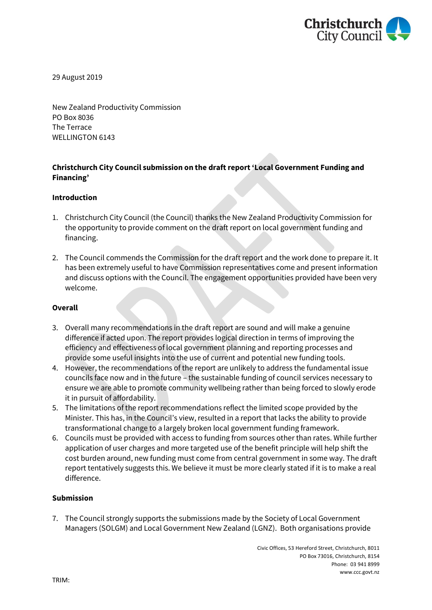

29 August 2019

New Zealand Productivity Commission PO Box 8036 The Terrace WELLINGTON 6143

## **Christchurch City Council submission on the draft report 'Local Government Funding and Financing'**

#### **Introduction**

- 1. Christchurch City Council (the Council) thanks the New Zealand Productivity Commission for the opportunity to provide comment on the draft report on local government funding and financing.
- 2. The Council commends the Commission for the draft report and the work done to prepare it. It has been extremely useful to have Commission representatives come and present information and discuss options with the Council. The engagement opportunities provided have been very welcome.

#### **Overall**

- 3. Overall many recommendations in the draft report are sound and will make a genuine difference if acted upon. The report provides logical direction in terms of improving the efficiency and effectiveness of local government planning and reporting processes and provide some useful insights into the use of current and potential new funding tools.
- 4. However, the recommendations of the report are unlikely to address the fundamental issue councils face now and in the future – the sustainable funding of council services necessary to ensure we are able to promote community wellbeing rather than being forced to slowly erode it in pursuit of affordability.
- 5. The limitations of the report recommendations reflect the limited scope provided by the Minister. This has, in the Council's view, resulted in a report that lacks the ability to provide transformational change to a largely broken local government funding framework.
- 6. Councils must be provided with access to funding from sources other than rates. While further application of user charges and more targeted use of the benefit principle will help shift the cost burden around, new funding must come from central government in some way. The draft report tentatively suggests this. We believe it must be more clearly stated if it is to make a real difference.

#### **Submission**

7. The Council strongly supports the submissions made by the Society of Local Government Managers (SOLGM) and Local Government New Zealand (LGNZ). Both organisations provide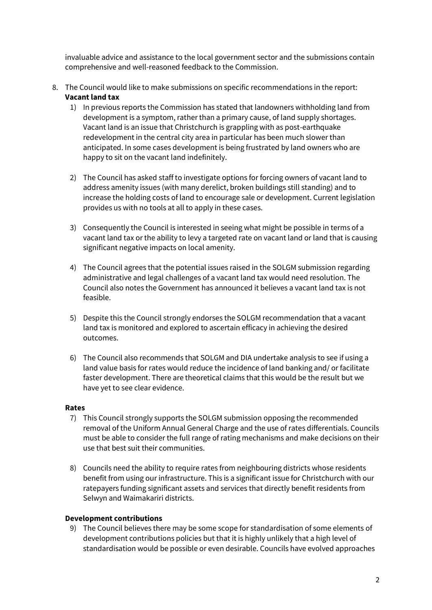invaluable advice and assistance to the local government sector and the submissions contain comprehensive and well-reasoned feedback to the Commission.

- 8. The Council would like to make submissions on specific recommendations in the report: **Vacant land tax**
	- 1) In previous reports the Commission has stated that landowners withholding land from development is a symptom, rather than a primary cause, of land supply shortages. Vacant land is an issue that Christchurch is grappling with as post-earthquake redevelopment in the central city area in particular has been much slower than anticipated. In some cases development is being frustrated by land owners who are happy to sit on the vacant land indefinitely.
	- 2) The Council has asked staff to investigate options for forcing owners of vacant land to address amenity issues (with many derelict, broken buildings still standing) and to increase the holding costs of land to encourage sale or development. Current legislation provides us with no tools at all to apply in these cases.
	- 3) Consequently the Council is interested in seeing what might be possible in terms of a vacant land tax or the ability to levy a targeted rate on vacant land or land that is causing significant negative impacts on local amenity.
	- 4) The Council agrees that the potential issues raised in the SOLGM submission regarding administrative and legal challenges of a vacant land tax would need resolution. The Council also notes the Government has announced it believes a vacant land tax is not feasible.
	- 5) Despite this the Council strongly endorses the SOLGM recommendation that a vacant land tax is monitored and explored to ascertain efficacy in achieving the desired outcomes.
	- 6) The Council also recommends that SOLGM and DIA undertake analysis to see if using a land value basis for rates would reduce the incidence of land banking and/ or facilitate faster development. There are theoretical claims that this would be the result but we have yet to see clear evidence.

### **Rates**

- 7) This Council strongly supports the SOLGM submission opposing the recommended removal of the Uniform Annual General Charge and the use of rates differentials. Councils must be able to consider the full range of rating mechanisms and make decisions on their use that best suit their communities.
- 8) Councils need the ability to require rates from neighbouring districts whose residents benefit from using our infrastructure. This is a significant issue for Christchurch with our ratepayers funding significant assets and services that directly benefit residents from Selwyn and Waimakariri districts.

### **Development contributions**

9) The Council believes there may be some scope for standardisation of some elements of development contributions policies but that it is highly unlikely that a high level of standardisation would be possible or even desirable. Councils have evolved approaches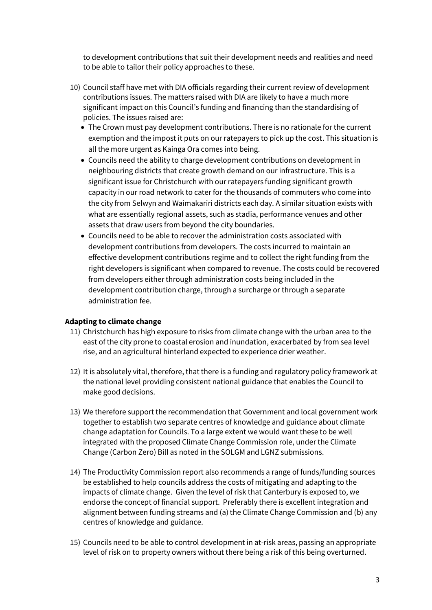to development contributions that suit their development needs and realities and need to be able to tailor their policy approaches to these.

- 10) Council staff have met with DIA officials regarding their current review of development contributions issues. The matters raised with DIA are likely to have a much more significant impact on this Council's funding and financing than the standardising of policies. The issues raised are:
	- The Crown must pay development contributions. There is no rationale for the current exemption and the impost it puts on our ratepayers to pick up the cost. This situation is all the more urgent as Kainga Ora comes into being.
	- Councils need the ability to charge development contributions on development in neighbouring districts that create growth demand on our infrastructure. This is a significant issue for Christchurch with our ratepayers funding significant growth capacity in our road network to cater for the thousands of commuters who come into the city from Selwyn and Waimakariri districts each day. A similar situation exists with what are essentially regional assets, such as stadia, performance venues and other assets that draw users from beyond the city boundaries.
	- Councils need to be able to recover the administration costs associated with development contributions from developers. The costs incurred to maintain an effective development contributions regime and to collect the right funding from the right developers is significant when compared to revenue. The costs could be recovered from developers either through administration costs being included in the development contribution charge, through a surcharge or through a separate administration fee.

### **Adapting to climate change**

- 11) Christchurch has high exposure to risks from climate change with the urban area to the east of the city prone to coastal erosion and inundation, exacerbated by from sea level rise, and an agricultural hinterland expected to experience drier weather.
- 12) It is absolutely vital, therefore, that there is a funding and regulatory policy framework at the national level providing consistent national guidance that enables the Council to make good decisions.
- 13) We therefore support the recommendation that Government and local government work together to establish two separate centres of knowledge and guidance about climate change adaptation for Councils. To a large extent we would want these to be well integrated with the proposed Climate Change Commission role, under the Climate Change (Carbon Zero) Bill as noted in the SOLGM and LGNZ submissions.
- 14) The Productivity Commission report also recommends a range of funds/funding sources be established to help councils address the costs of mitigating and adapting to the impacts of climate change. Given the level of risk that Canterbury is exposed to, we endorse the concept of financial support. Preferably there is excellent integration and alignment between funding streams and (a) the Climate Change Commission and (b) any centres of knowledge and guidance.
- 15) Councils need to be able to control development in at-risk areas, passing an appropriate level of risk on to property owners without there being a risk of this being overturned.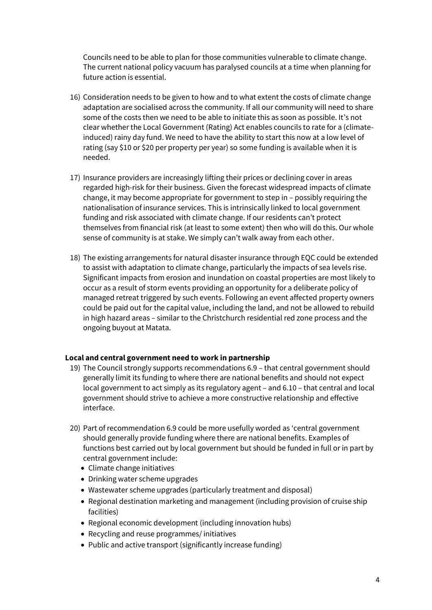Councils need to be able to plan for those communities vulnerable to climate change. The current national policy vacuum has paralysed councils at a time when planning for future action is essential.

- 16) Consideration needs to be given to how and to what extent the costs of climate change adaptation are socialised across the community. If all our community will need to share some of the costs then we need to be able to initiate this as soon as possible. It's not clear whether the Local Government (Rating) Act enables councils to rate for a (climateinduced) rainy day fund. We need to have the ability to start this now at a low level of rating (say \$10 or \$20 per property per year) so some funding is available when it is needed.
- 17) Insurance providers are increasingly lifting their prices or declining cover in areas regarded high-risk for their business. Given the forecast widespread impacts of climate change, it may become appropriate for government to step in – possibly requiring the nationalisation of insurance services. This is intrinsically linked to local government funding and risk associated with climate change. If our residents can't protect themselves from financial risk (at least to some extent) then who will do this. Our whole sense of community is at stake. We simply can't walk away from each other.
- 18) The existing arrangements for natural disaster insurance through EQC could be extended to assist with adaptation to climate change, particularly the impacts of sea levels rise. Significant impacts from erosion and inundation on coastal properties are most likely to occur as a result of storm events providing an opportunity for a deliberate policy of managed retreat triggered by such events. Following an event affected property owners could be paid out for the capital value, including the land, and not be allowed to rebuild in high hazard areas – similar to the Christchurch residential red zone process and the ongoing buyout at Matata.

### **Local and central government need to work in partnership**

- 19) The Council strongly supports recommendations 6.9 that central government should generally limit its funding to where there are national benefits and should not expect local government to act simply as its regulatory agent – and 6.10 – that central and local government should strive to achieve a more constructive relationship and effective interface.
- 20) Part of recommendation 6.9 could be more usefully worded as 'central government should generally provide funding where there are national benefits. Examples of functions best carried out by local government but should be funded in full or in part by central government include:
	- Climate change initiatives
	- Drinking water scheme upgrades
	- Wastewater scheme upgrades (particularly treatment and disposal)
	- Regional destination marketing and management (including provision of cruise ship facilities)
	- Regional economic development (including innovation hubs)
	- Recycling and reuse programmes/ initiatives
	- Public and active transport (significantly increase funding)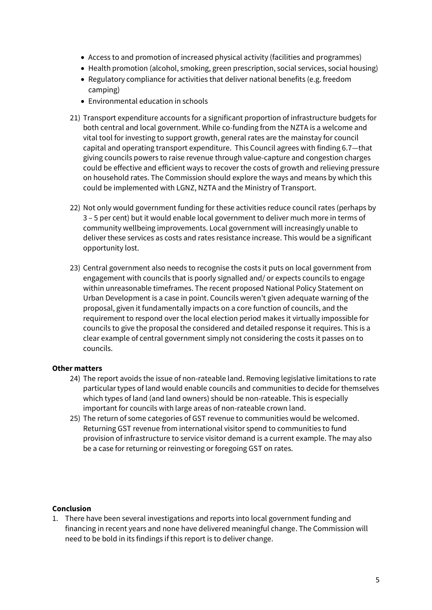- Access to and promotion of increased physical activity (facilities and programmes)
- Health promotion (alcohol, smoking, green prescription, social services, social housing)
- Regulatory compliance for activities that deliver national benefits (e.g. freedom camping)
- Environmental education in schools
- 21) Transport expenditure accounts for a significant proportion of infrastructure budgets for both central and local government. While co-funding from the NZTA is a welcome and vital tool for investing to support growth, general rates are the mainstay for council capital and operating transport expenditure. This Council agrees with finding 6.7—that giving councils powers to raise revenue through value-capture and congestion charges could be effective and efficient ways to recover the costs of growth and relieving pressure on household rates. The Commission should explore the ways and means by which this could be implemented with LGNZ, NZTA and the Ministry of Transport.
- 22) Not only would government funding for these activities reduce council rates (perhaps by 3 – 5 per cent) but it would enable local government to deliver much more in terms of community wellbeing improvements. Local government will increasingly unable to deliver these services as costs and rates resistance increase. This would be a significant opportunity lost.
- 23) Central government also needs to recognise the costs it puts on local government from engagement with councils that is poorly signalled and/ or expects councils to engage within unreasonable timeframes. The recent proposed National Policy Statement on Urban Development is a case in point. Councils weren't given adequate warning of the proposal, given it fundamentally impacts on a core function of councils, and the requirement to respond over the local election period makes it virtually impossible for councils to give the proposal the considered and detailed response it requires. This is a clear example of central government simply not considering the costs it passes on to councils.

# **Other matters**

- 24) The report avoids the issue of non-rateable land. Removing legislative limitations to rate particular types of land would enable councils and communities to decide for themselves which types of land (and land owners) should be non-rateable. This is especially important for councils with large areas of non-rateable crown land.
- 25) The return of some categories of GST revenue to communities would be welcomed. Returning GST revenue from international visitor spend to communities to fund provision of infrastructure to service visitor demand is a current example. The may also be a case for returning or reinvesting or foregoing GST on rates.

# **Conclusion**

1. There have been several investigations and reports into local government funding and financing in recent years and none have delivered meaningful change. The Commission will need to be bold in its findings if this report is to deliver change.